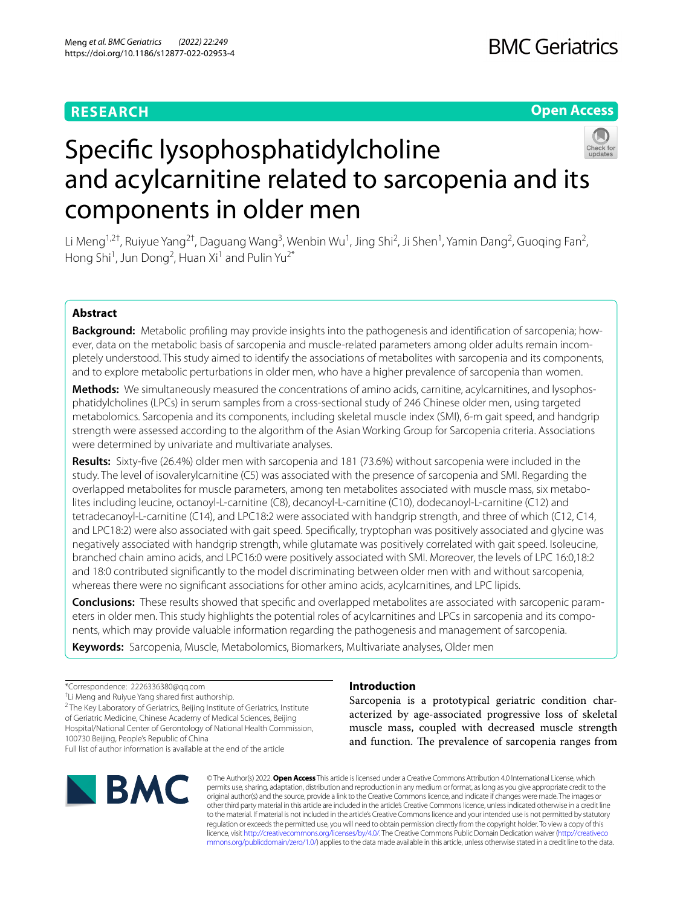## **RESEARCH**

**Open Access**



# Specifc lysophosphatidylcholine and acylcarnitine related to sarcopenia and its components in older men

Li Meng<sup>1,2†</sup>, Ruiyue Yang<sup>2†</sup>, Daguang Wang<sup>3</sup>, Wenbin Wu<sup>1</sup>, Jing Shi<sup>2</sup>, Ji Shen<sup>1</sup>, Yamin Dang<sup>2</sup>, Guoqing Fan<sup>2</sup>, Hong Shi<sup>1</sup>, Jun Dong<sup>2</sup>, Huan Xi<sup>1</sup> and Pulin Yu<sup>2\*</sup>

## **Abstract**

**Background:** Metabolic profling may provide insights into the pathogenesis and identifcation of sarcopenia; however, data on the metabolic basis of sarcopenia and muscle-related parameters among older adults remain incompletely understood. This study aimed to identify the associations of metabolites with sarcopenia and its components, and to explore metabolic perturbations in older men, who have a higher prevalence of sarcopenia than women.

**Methods:** We simultaneously measured the concentrations of amino acids, carnitine, acylcarnitines, and lysophosphatidylcholines (LPCs) in serum samples from a cross-sectional study of 246 Chinese older men, using targeted metabolomics. Sarcopenia and its components, including skeletal muscle index (SMI), 6-m gait speed, and handgrip strength were assessed according to the algorithm of the Asian Working Group for Sarcopenia criteria. Associations were determined by univariate and multivariate analyses.

**Results:** Sixty-fve (26.4%) older men with sarcopenia and 181 (73.6%) without sarcopenia were included in the study. The level of isovalerylcarnitine (C5) was associated with the presence of sarcopenia and SMI. Regarding the overlapped metabolites for muscle parameters, among ten metabolites associated with muscle mass, six metabolites including leucine, octanoyl-L-carnitine (C8), decanoyl-L-carnitine (C10), dodecanoyl-L-carnitine (C12) and tetradecanoyl-L-carnitine (C14), and LPC18:2 were associated with handgrip strength, and three of which (C12, C14, and LPC18:2) were also associated with gait speed. Specifcally, tryptophan was positively associated and glycine was negatively associated with handgrip strength, while glutamate was positively correlated with gait speed. Isoleucine, branched chain amino acids, and LPC16:0 were positively associated with SMI. Moreover, the levels of LPC 16:0,18:2 and 18:0 contributed signifcantly to the model discriminating between older men with and without sarcopenia, whereas there were no signifcant associations for other amino acids, acylcarnitines, and LPC lipids.

**Conclusions:** These results showed that specifc and overlapped metabolites are associated with sarcopenic parameters in older men. This study highlights the potential roles of acylcarnitines and LPCs in sarcopenia and its components, which may provide valuable information regarding the pathogenesis and management of sarcopenia.

**Keywords:** Sarcopenia, Muscle, Metabolomics, Biomarkers, Multivariate analyses, Older men

\*Correspondence: 2226336380@qq.com † Li Meng and Ruiyue Yang shared frst authorship. <sup>2</sup> The Key Laboratory of Geriatrics, Beijing Institute of Geriatrics, Institute of Geriatric Medicine, Chinese Academy of Medical Sciences, Beijing Hospital/National Center of Gerontology of National Health Commission, 100730 Beijing, People's Republic of China

Full list of author information is available at the end of the article



## **Introduction**

Sarcopenia is a prototypical geriatric condition characterized by age-associated progressive loss of skeletal muscle mass, coupled with decreased muscle strength and function. The prevalence of sarcopenia ranges from

© The Author(s) 2022. **Open Access** This article is licensed under a Creative Commons Attribution 4.0 International License, which permits use, sharing, adaptation, distribution and reproduction in any medium or format, as long as you give appropriate credit to the original author(s) and the source, provide a link to the Creative Commons licence, and indicate if changes were made. The images or other third party material in this article are included in the article's Creative Commons licence, unless indicated otherwise in a credit line to the material. If material is not included in the article's Creative Commons licence and your intended use is not permitted by statutory regulation or exceeds the permitted use, you will need to obtain permission directly from the copyright holder. To view a copy of this licence, visit [http://creativecommons.org/licenses/by/4.0/.](http://creativecommons.org/licenses/by/4.0/) The Creative Commons Public Domain Dedication waiver ([http://creativeco](http://creativecommons.org/publicdomain/zero/1.0/) [mmons.org/publicdomain/zero/1.0/](http://creativecommons.org/publicdomain/zero/1.0/)) applies to the data made available in this article, unless otherwise stated in a credit line to the data.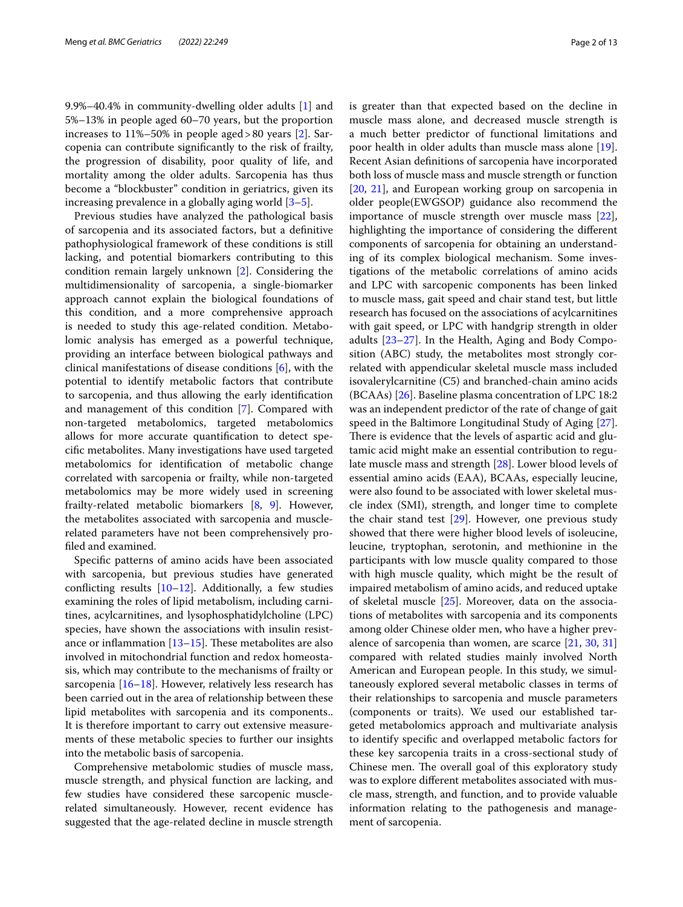9.9%–40.4% in community-dwelling older adults [\[1\]](#page-10-0) and 5%–13% in people aged 60–70 years, but the proportion increases to 11%–50% in people aged>80 years [\[2](#page-10-1)]. Sarcopenia can contribute signifcantly to the risk of frailty, the progression of disability, poor quality of life, and mortality among the older adults. Sarcopenia has thus become a "blockbuster" condition in geriatrics, given its increasing prevalence in a globally aging world  $[3-5]$  $[3-5]$ .

Previous studies have analyzed the pathological basis of sarcopenia and its associated factors, but a defnitive pathophysiological framework of these conditions is still lacking, and potential biomarkers contributing to this condition remain largely unknown [\[2](#page-10-1)]. Considering the multidimensionality of sarcopenia, a single-biomarker approach cannot explain the biological foundations of this condition, and a more comprehensive approach is needed to study this age-related condition. Metabolomic analysis has emerged as a powerful technique, providing an interface between biological pathways and clinical manifestations of disease conditions [\[6](#page-10-4)], with the potential to identify metabolic factors that contribute to sarcopenia, and thus allowing the early identifcation and management of this condition [[7\]](#page-11-0). Compared with non-targeted metabolomics, targeted metabolomics allows for more accurate quantifcation to detect specifc metabolites. Many investigations have used targeted metabolomics for identifcation of metabolic change correlated with sarcopenia or frailty, while non-targeted metabolomics may be more widely used in screening frailty-related metabolic biomarkers [[8,](#page-11-1) [9](#page-11-2)]. However, the metabolites associated with sarcopenia and musclerelated parameters have not been comprehensively profled and examined.

Specifc patterns of amino acids have been associated with sarcopenia, but previous studies have generated conflicting results  $[10-12]$  $[10-12]$ . Additionally, a few studies examining the roles of lipid metabolism, including carnitines, acylcarnitines, and lysophosphatidylcholine (LPC) species, have shown the associations with insulin resistance or inflammation  $[13–15]$  $[13–15]$  $[13–15]$ . These metabolites are also involved in mitochondrial function and redox homeostasis, which may contribute to the mechanisms of frailty or sarcopenia  $[16–18]$  $[16–18]$  $[16–18]$  $[16–18]$ . However, relatively less research has been carried out in the area of relationship between these lipid metabolites with sarcopenia and its components.. It is therefore important to carry out extensive measurements of these metabolic species to further our insights into the metabolic basis of sarcopenia.

Comprehensive metabolomic studies of muscle mass, muscle strength, and physical function are lacking, and few studies have considered these sarcopenic musclerelated simultaneously. However, recent evidence has suggested that the age-related decline in muscle strength is greater than that expected based on the decline in muscle mass alone, and decreased muscle strength is a much better predictor of functional limitations and poor health in older adults than muscle mass alone [\[19](#page-11-9)]. Recent Asian defnitions of sarcopenia have incorporated both loss of muscle mass and muscle strength or function [[20,](#page-11-10) [21](#page-11-11)], and European working group on sarcopenia in older people(EWGSOP) guidance also recommend the importance of muscle strength over muscle mass [\[22](#page-11-12)], highlighting the importance of considering the diferent components of sarcopenia for obtaining an understanding of its complex biological mechanism. Some investigations of the metabolic correlations of amino acids and LPC with sarcopenic components has been linked to muscle mass, gait speed and chair stand test, but little research has focused on the associations of acylcarnitines with gait speed, or LPC with handgrip strength in older adults [\[23](#page-11-13)–[27\]](#page-11-14). In the Health, Aging and Body Composition (ABC) study, the metabolites most strongly correlated with appendicular skeletal muscle mass included isovalerylcarnitine (C5) and branched-chain amino acids (BCAAs) [\[26](#page-11-15)]. Baseline plasma concentration of LPC 18:2 was an independent predictor of the rate of change of gait speed in the Baltimore Longitudinal Study of Aging [\[27](#page-11-14)]. There is evidence that the levels of aspartic acid and glutamic acid might make an essential contribution to regulate muscle mass and strength [\[28](#page-11-16)]. Lower blood levels of essential amino acids (EAA), BCAAs, especially leucine, were also found to be associated with lower skeletal muscle index (SMI), strength, and longer time to complete the chair stand test [[29](#page-11-17)]. However, one previous study showed that there were higher blood levels of isoleucine, leucine, tryptophan, serotonin, and methionine in the participants with low muscle quality compared to those with high muscle quality, which might be the result of impaired metabolism of amino acids, and reduced uptake of skeletal muscle [\[25](#page-11-18)]. Moreover, data on the associations of metabolites with sarcopenia and its components among older Chinese older men, who have a higher prevalence of sarcopenia than women, are scarce [\[21](#page-11-11), [30](#page-11-19), [31](#page-11-20)] compared with related studies mainly involved North American and European people. In this study, we simultaneously explored several metabolic classes in terms of their relationships to sarcopenia and muscle parameters (components or traits). We used our established targeted metabolomics approach and multivariate analysis to identify specifc and overlapped metabolic factors for these key sarcopenia traits in a cross-sectional study of Chinese men. The overall goal of this exploratory study was to explore diferent metabolites associated with muscle mass, strength, and function, and to provide valuable information relating to the pathogenesis and management of sarcopenia.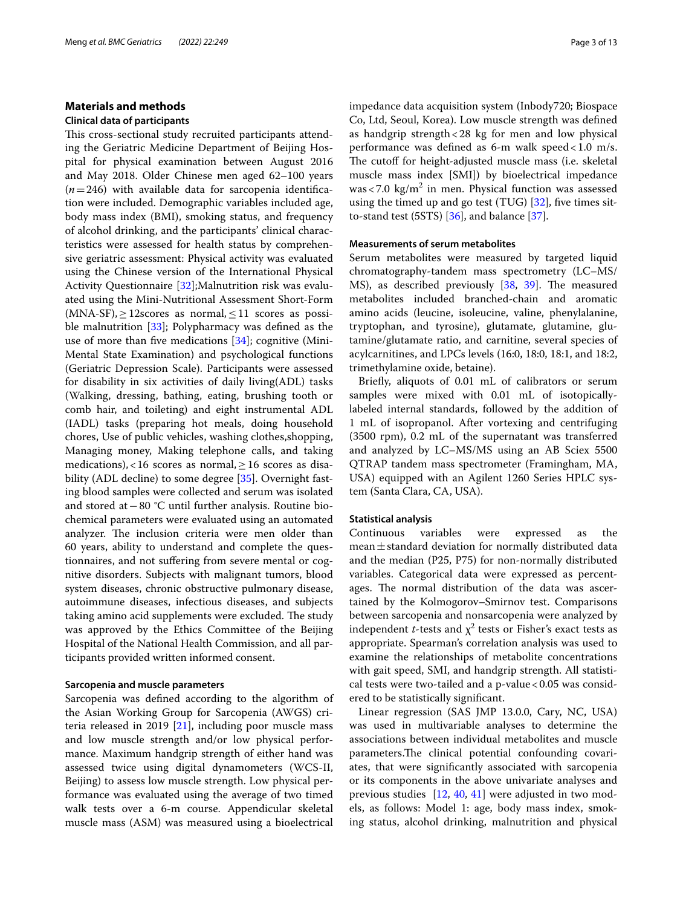## **Materials and methods**

### **Clinical data of participants**

This cross-sectional study recruited participants attending the Geriatric Medicine Department of Beijing Hospital for physical examination between August 2016 and May 2018. Older Chinese men aged 62–100 years  $(n=246)$  with available data for sarcopenia identification were included. Demographic variables included age, body mass index (BMI), smoking status, and frequency of alcohol drinking, and the participants' clinical characteristics were assessed for health status by comprehensive geriatric assessment: Physical activity was evaluated using the Chinese version of the International Physical Activity Questionnaire [\[32\]](#page-11-21);Malnutrition risk was evaluated using the Mini-Nutritional Assessment Short-Form  $(MNA-SF)$ ,  $\geq$  12scores as normal,  $\leq$  11 scores as possible malnutrition [\[33](#page-11-22)]; Polypharmacy was defned as the use of more than five medications  $[34]$  $[34]$ ; cognitive (Mini-Mental State Examination) and psychological functions (Geriatric Depression Scale). Participants were assessed for disability in six activities of daily living(ADL) tasks (Walking, dressing, bathing, eating, brushing tooth or comb hair, and toileting) and eight instrumental ADL (IADL) tasks (preparing hot meals, doing household chores, Use of public vehicles, washing clothes,shopping, Managing money, Making telephone calls, and taking medications), <16 scores as normal,  $>16$  scores as disa-bility (ADL decline) to some degree [[35\]](#page-11-24). Overnight fasting blood samples were collected and serum was isolated and stored at−80 °C until further analysis. Routine biochemical parameters were evaluated using an automated analyzer. The inclusion criteria were men older than 60 years, ability to understand and complete the questionnaires, and not sufering from severe mental or cognitive disorders. Subjects with malignant tumors, blood system diseases, chronic obstructive pulmonary disease, autoimmune diseases, infectious diseases, and subjects taking amino acid supplements were excluded. The study was approved by the Ethics Committee of the Beijing Hospital of the National Health Commission, and all participants provided written informed consent.

#### **Sarcopenia and muscle parameters**

Sarcopenia was defned according to the algorithm of the Asian Working Group for Sarcopenia (AWGS) criteria released in 2019  $[21]$  $[21]$ , including poor muscle mass and low muscle strength and/or low physical performance. Maximum handgrip strength of either hand was assessed twice using digital dynamometers (WCS-II, Beijing) to assess low muscle strength. Low physical performance was evaluated using the average of two timed walk tests over a 6-m course. Appendicular skeletal muscle mass (ASM) was measured using a bioelectrical impedance data acquisition system (Inbody720; Biospace Co, Ltd, Seoul, Korea). Low muscle strength was defned as handgrip strength<28 kg for men and low physical performance was defned as 6-m walk speed<1.0 m/s. The cutoff for height-adjusted muscle mass (i.e. skeletal muscle mass index [SMI]) by bioelectrical impedance  $was < 7.0 \text{ kg/m}^2$  in men. Physical function was assessed using the timed up and go test (TUG)  $[32]$  $[32]$ , five times sitto-stand test  $(5STS)$  [[36\]](#page-11-25), and balance [\[37](#page-11-26)].

#### **Measurements of serum metabolites**

Serum metabolites were measured by targeted liquid chromatography-tandem mass spectrometry (LC–MS/ MS), as described previously [[38](#page-11-27), [39\]](#page-11-28). The measured metabolites included branched-chain and aromatic amino acids (leucine, isoleucine, valine, phenylalanine, tryptophan, and tyrosine), glutamate, glutamine, glutamine/glutamate ratio, and carnitine, several species of acylcarnitines, and LPCs levels (16:0, 18:0, 18:1, and 18:2, trimethylamine oxide, betaine).

Briefy, aliquots of 0.01 mL of calibrators or serum samples were mixed with 0.01 mL of isotopicallylabeled internal standards, followed by the addition of 1 mL of isopropanol. After vortexing and centrifuging (3500 rpm), 0.2 mL of the supernatant was transferred and analyzed by LC–MS/MS using an AB Sciex 5500 QTRAP tandem mass spectrometer (Framingham, MA, USA) equipped with an Agilent 1260 Series HPLC system (Santa Clara, CA, USA).

#### **Statistical analysis**

Continuous variables were expressed as the mean $\pm$ standard deviation for normally distributed data and the median (P25, P75) for non-normally distributed variables. Categorical data were expressed as percentages. The normal distribution of the data was ascertained by the Kolmogorov–Smirnov test. Comparisons between sarcopenia and nonsarcopenia were analyzed by independent *t*-tests and  $\chi^2$  tests or Fisher's exact tests as appropriate. Spearman's correlation analysis was used to examine the relationships of metabolite concentrations with gait speed, SMI, and handgrip strength. All statistical tests were two-tailed and a p-value  $< 0.05$  was considered to be statistically signifcant.

Linear regression (SAS JMP 13.0.0, Cary, NC, USA) was used in multivariable analyses to determine the associations between individual metabolites and muscle parameters. The clinical potential confounding covariates, that were signifcantly associated with sarcopenia or its components in the above univariate analyses and previous studies [[12](#page-11-4), [40,](#page-11-29) [41\]](#page-11-30) were adjusted in two models, as follows: Model 1: age, body mass index, smoking status, alcohol drinking, malnutrition and physical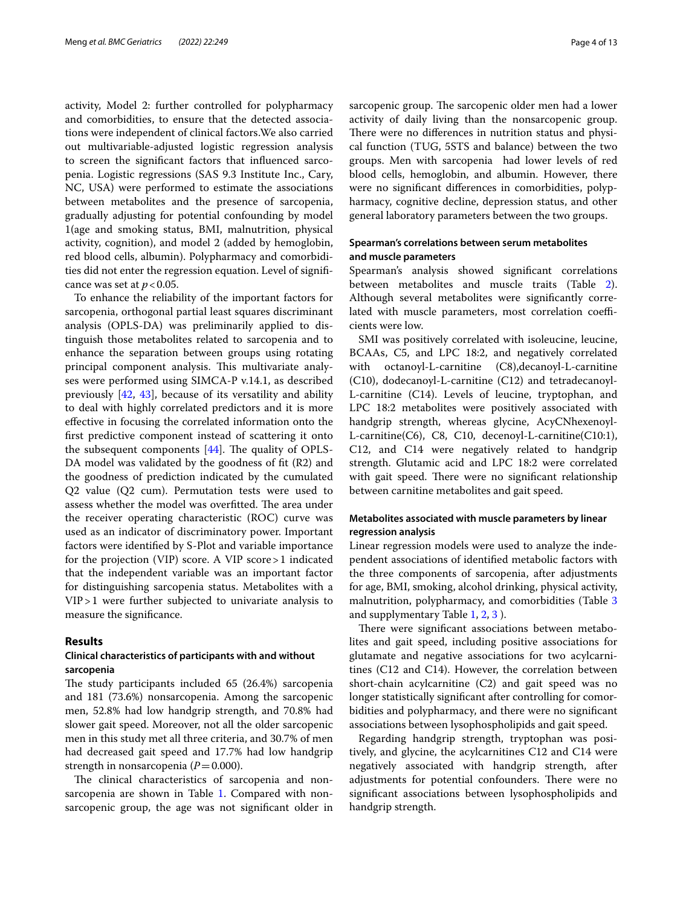activity, Model 2: further controlled for polypharmacy and comorbidities, to ensure that the detected associations were independent of clinical factors.We also carried out multivariable-adjusted logistic regression analysis to screen the signifcant factors that infuenced sarcopenia. Logistic regressions (SAS 9.3 Institute Inc., Cary, NC, USA) were performed to estimate the associations between metabolites and the presence of sarcopenia, gradually adjusting for potential confounding by model 1(age and smoking status, BMI, malnutrition, physical activity, cognition), and model 2 (added by hemoglobin, red blood cells, albumin). Polypharmacy and comorbidities did not enter the regression equation. Level of signifcance was set at  $p < 0.05$ .

To enhance the reliability of the important factors for sarcopenia, orthogonal partial least squares discriminant analysis (OPLS-DA) was preliminarily applied to distinguish those metabolites related to sarcopenia and to enhance the separation between groups using rotating principal component analysis. This multivariate analyses were performed using SIMCA-P v.14.1, as described previously [[42,](#page-11-31) [43\]](#page-11-32), because of its versatility and ability to deal with highly correlated predictors and it is more efective in focusing the correlated information onto the frst predictive component instead of scattering it onto the subsequent components  $[44]$ . The quality of OPLS-DA model was validated by the goodness of ft (R2) and the goodness of prediction indicated by the cumulated Q2 value (Q2 cum). Permutation tests were used to assess whether the model was overfitted. The area under the receiver operating characteristic (ROC) curve was used as an indicator of discriminatory power. Important factors were identifed by S-Plot and variable importance for the projection (VIP) score. A VIP score>1 indicated that the independent variable was an important factor for distinguishing sarcopenia status. Metabolites with a VIP>1 were further subjected to univariate analysis to measure the signifcance.

## **Results**

## **Clinical characteristics of participants with and without sarcopenia**

The study participants included  $65$  (26.4%) sarcopenia and 181 (73.6%) nonsarcopenia. Among the sarcopenic men, 52.8% had low handgrip strength, and 70.8% had slower gait speed. Moreover, not all the older sarcopenic men in this study met all three criteria, and 30.7% of men had decreased gait speed and 17.7% had low handgrip strength in nonsarcopenia  $(P=0.000)$ .

The clinical characteristics of sarcopenia and non-sarcopenia are shown in Table [1](#page-4-0). Compared with nonsarcopenic group, the age was not signifcant older in sarcopenic group. The sarcopenic older men had a lower activity of daily living than the nonsarcopenic group. There were no differences in nutrition status and physical function (TUG, 5STS and balance) between the two groups. Men with sarcopenia had lower levels of red blood cells, hemoglobin, and albumin. However, there were no signifcant diferences in comorbidities, polypharmacy, cognitive decline, depression status, and other general laboratory parameters between the two groups.

## **Spearman's correlations between serum metabolites and muscle parameters**

Spearman's analysis showed signifcant correlations between metabolites and muscle traits (Table [2](#page-5-0)). Although several metabolites were signifcantly correlated with muscle parameters, most correlation coefficients were low.

SMI was positively correlated with isoleucine, leucine, BCAAs, C5, and LPC 18:2, and negatively correlated with octanoyl-L-carnitine (C8),decanoyl-L-carnitine (C10), dodecanoyl-L-carnitine (C12) and tetradecanoyl-L-carnitine (C14). Levels of leucine, tryptophan, and LPC 18:2 metabolites were positively associated with handgrip strength, whereas glycine, AcyCNhexenoyl-L-carnitine(C6), C8, C10, decenoyl-L-carnitine(C10:1), C12, and C14 were negatively related to handgrip strength. Glutamic acid and LPC 18:2 were correlated with gait speed. There were no significant relationship between carnitine metabolites and gait speed.

## **Metabolites associated with muscle parameters by linear regression analysis**

Linear regression models were used to analyze the independent associations of identifed metabolic factors with the three components of sarcopenia, after adjustments for age, BMI, smoking, alcohol drinking, physical activity, malnutrition, polypharmacy, and comorbidities (Table [3](#page-5-1) and supplymentary Table [1](#page-10-5), [2, 3](#page-10-5) ).

There were significant associations between metabolites and gait speed, including positive associations for glutamate and negative associations for two acylcarnitines (C12 and C14). However, the correlation between short-chain acylcarnitine (C2) and gait speed was no longer statistically signifcant after controlling for comorbidities and polypharmacy, and there were no signifcant associations between lysophospholipids and gait speed.

Regarding handgrip strength, tryptophan was positively, and glycine, the acylcarnitines C12 and C14 were negatively associated with handgrip strength, after adjustments for potential confounders. There were no signifcant associations between lysophospholipids and handgrip strength.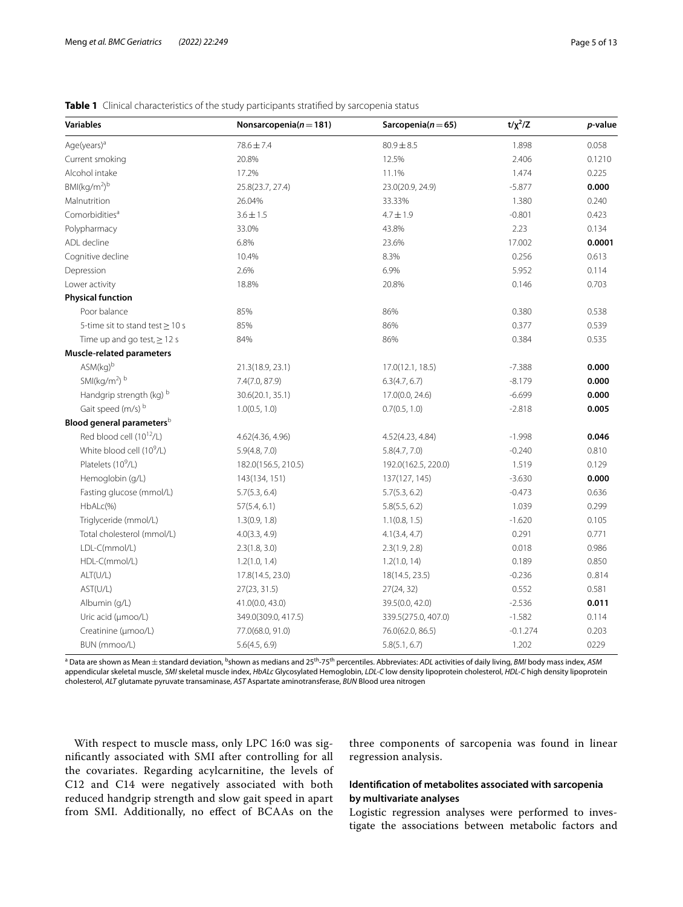<span id="page-4-0"></span>

|  |  | Table 1 Clinical characteristics of the study participants stratified by sarcopenia status |  |  |  |  |  |  |
|--|--|--------------------------------------------------------------------------------------------|--|--|--|--|--|--|
|--|--|--------------------------------------------------------------------------------------------|--|--|--|--|--|--|

| <b>Variables</b>                      | Nonsarcopenia $(n=181)$ | Sarcopenia $(n=65)$ | $t/x^2/Z$  | p-value |
|---------------------------------------|-------------------------|---------------------|------------|---------|
| Age(years) <sup>a</sup>               | 78.6 ± 7.4              | $80.9 \pm 8.5$      | 1.898      | 0.058   |
| Current smoking                       | 20.8%                   | 12.5%               | 2.406      | 0.1210  |
| Alcohol intake                        | 17.2%                   | 11.1%               | 1.474      | 0.225   |
| BMI(kg/m <sup>2</sup> ) <sup>b</sup>  | 25.8(23.7, 27.4)        | 23.0(20.9, 24.9)    | $-5.877$   | 0.000   |
| Malnutrition                          | 26.04%                  | 33.33%              | 1.380      | 0.240   |
| Comorbidities <sup>a</sup>            | $3.6 \pm 1.5$           | $4.7 \pm 1.9$       | $-0.801$   | 0.423   |
| Polypharmacy                          | 33.0%                   | 43.8%               | 2.23       | 0.134   |
| ADL decline                           | 6.8%                    | 23.6%               | 17.002     | 0.0001  |
| Cognitive decline                     | 10.4%                   | 8.3%                | 0.256      | 0.613   |
| Depression                            | 2.6%                    | 6.9%                | 5.952      | 0.114   |
| Lower activity                        | 18.8%                   | 20.8%               | 0.146      | 0.703   |
| <b>Physical function</b>              |                         |                     |            |         |
| Poor balance                          | 85%                     | 86%                 | 0.380      | 0.538   |
| 5-time sit to stand test $\geq$ 10 s  | 85%                     | 86%                 | 0.377      | 0.539   |
| Time up and go test, $\geq$ 12 s      | 84%                     | 86%                 | 0.384      | 0.535   |
| <b>Muscle-related parameters</b>      |                         |                     |            |         |
| $ASM(kq)^b$                           | 21.3(18.9, 23.1)        | 17.0(12.1, 18.5)    | $-7.388$   | 0.000   |
| SMI(kg/m <sup>2</sup> ) b             | 7.4(7.0, 87.9)          | 6.3(4.7, 6.7)       | $-8.179$   | 0.000   |
| Handgrip strength (kg) b              | 30.6(20.1, 35.1)        | 17.0(0.0, 24.6)     | $-6.699$   | 0.000   |
| Gait speed (m/s) b                    | 1.0(0.5, 1.0)           | 0.7(0.5, 1.0)       | $-2.818$   | 0.005   |
| Blood general parameters <sup>b</sup> |                         |                     |            |         |
| Red blood cell (10 <sup>12</sup> /L)  | 4.62(4.36, 4.96)        | 4.52(4.23, 4.84)    | $-1.998$   | 0.046   |
| White blood cell (10 <sup>9</sup> /L) | 5.9(4.8, 7.0)           | 5.8(4.7, 7.0)       | $-0.240$   | 0.810   |
| Platelets (10 <sup>9</sup> /L)        | 182.0(156.5, 210.5)     | 192.0(162.5, 220.0) | 1.519      | 0.129   |
| Hemoglobin (g/L)                      | 143(134, 151)           | 137(127, 145)       | $-3.630$   | 0.000   |
| Fasting glucose (mmol/L)              | 5.7(5.3, 6.4)           | 5.7(5.3, 6.2)       | $-0.473$   | 0.636   |
| HbALc(%)                              | 57(5.4, 6.1)            | 5.8(5.5, 6.2)       | 1.039      | 0.299   |
| Triglyceride (mmol/L)                 | 1.3(0.9, 1.8)           | 1.1(0.8, 1.5)       | $-1.620$   | 0.105   |
| Total cholesterol (mmol/L)            | 4.0(3.3, 4.9)           | 4.1(3.4, 4.7)       | 0.291      | 0.771   |
| LDL-C(mmol/L)                         | 2.3(1.8, 3.0)           | 2.3(1.9, 2.8)       | 0.018      | 0.986   |
| HDL-C(mmol/L)                         | 1.2(1.0, 1.4)           | 1.2(1.0, 14)        | 0.189      | 0.850   |
| ALT(U/L)                              | 17.8(14.5, 23.0)        | 18(14.5, 23.5)      | $-0.236$   | 0.814   |
| AST(U/L)                              | 27(23, 31.5)            | 27(24, 32)          | 0.552      | 0.581   |
| Albumin (g/L)                         | 41.0(0.0, 43.0)         | 39.5(0.0, 42.0)     | $-2.536$   | 0.011   |
| Uric acid (µmoo/L)                    | 349.0(309.0, 417.5)     | 339.5(275.0, 407.0) | $-1.582$   | 0.114   |
| Creatinine (µmoo/L)                   | 77.0(68.0, 91.0)        | 76.0(62.0, 86.5)    | $-0.1.274$ | 0.203   |
| BUN (mmoo/L)                          | 5.6(4.5, 6.9)           | 5.8(5.1, 6.7)       | 1.202      | 0229    |

a Data are shown as Mean±standard deviation, b shown as medians and 25th-75th percentiles. Abbreviates: *ADL* activities of daily living, *BMI* body mass index, *ASM* appendicular skeletal muscle, *SMI* skeletal muscle index, *HbALc* Glycosylated Hemoglobin, *LDL-C* low density lipoprotein cholesterol, *HDL-C* high density lipoprotein cholesterol, *ALT* glutamate pyruvate transaminase, *AST* Aspartate aminotransferase, *BUN* Blood urea nitrogen

With respect to muscle mass, only LPC 16:0 was signifcantly associated with SMI after controlling for all the covariates. Regarding acylcarnitine, the levels of C12 and C14 were negatively associated with both reduced handgrip strength and slow gait speed in apart from SMI. Additionally, no efect of BCAAs on the

three components of sarcopenia was found in linear regression analysis.

## **Identifcation of metabolites associated with sarcopenia by multivariate analyses**

Logistic regression analyses were performed to investigate the associations between metabolic factors and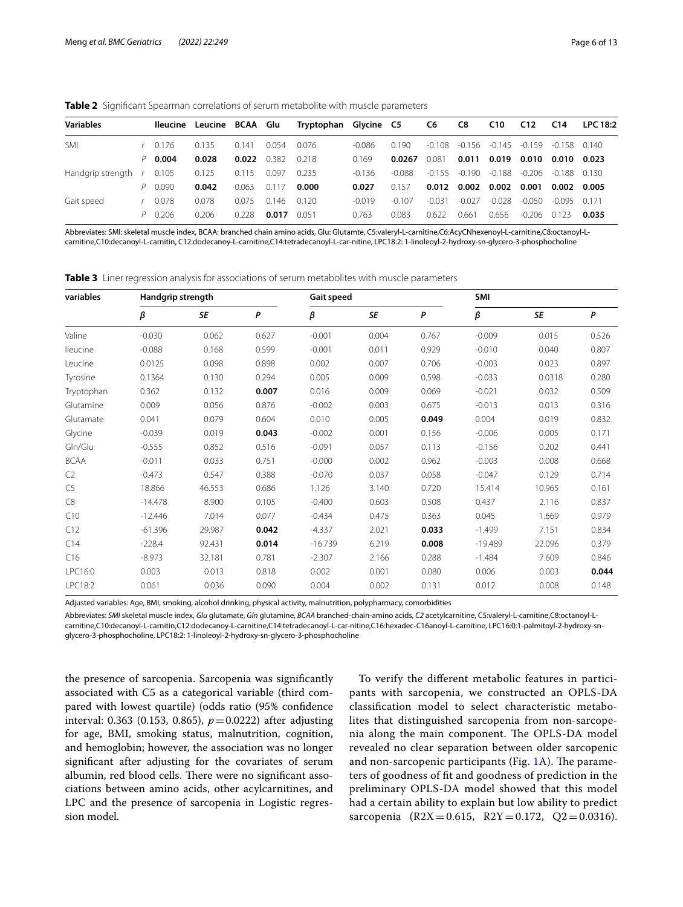<span id="page-5-0"></span>**Table 2** Signifcant Spearman correlations of serum metabolite with muscle parameters

| <b>Variables</b>              | lleucine    | Leucine BCAA Glu |       |       | Tryptophan Glycine C5 |          |          | C6       | C8       | C <sub>10</sub> | C <sub>12</sub> | C14      | <b>LPC 18:2</b> |
|-------------------------------|-------------|------------------|-------|-------|-----------------------|----------|----------|----------|----------|-----------------|-----------------|----------|-----------------|
| SMI                           | $r = 0.176$ | 0.135            | 0.141 | 0.054 | 0.076                 | -0.086   | 0.190    | $-0.108$ | -0.156   | $-0.145$        | $-0.159$        | $-0.158$ | 0.140           |
|                               | $P$ 0.004   | 0.028            | 0.022 | 0382  | 0.218                 | 0.169    | 0.0267   | 0.081    | 0.011    | 0.019           | 0.010           | 0.010    | 0.023           |
| Handgrip strength $r = 0.105$ |             | 0.125            | 0.115 | 0.097 | 0.235                 | -0136    | $-0.088$ | -0.155   | $-0.190$ | $-0.188$        | $-0.206$        | $-0.188$ | 0.130           |
|                               | $P = 0.090$ | 0.042            | 0.063 | 0.117 | 0.000                 | 0.027    | 0.157    | 0.012    | 0.002    | 0.002           | 0.001           | 0.002    | 0.005           |
| Gait speed                    | 0.078       | 0.078            | 0.075 | 0.146 | 0.120                 | $-0.019$ | $-0.107$ | $-0.031$ | $-0.027$ | $-0.028$        | $-0.050$        | -0.095   | 0.171           |
|                               | P 0.206     | 0.206            | 0.228 | 0.017 | 0051                  | 0.763    | 0.083    | 0622     | 0.661    | 0.656           | $-0.206$        | 0.123    | 0.035           |

Abbreviates: SMI: skeletal muscle index, BCAA: branched chain amino acids, Glu: Glutamte, C5:valeryl-L-carnitine,C6:AcyCNhexenoyl-L-carnitine,C8:octanoyl-Lcarnitine,C10:decanoyl-L-carnitin, C12:dodecanoy-L-carnitine,C14:tetradecanoyl-L-car-nitine, LPC18:2: 1-linoleoyl-2-hydroxy-sn-glycero-3-phosphocholine

<span id="page-5-1"></span>**Table 3** Liner regression analysis for associations of serum metabolites with muscle parameters

| variables      | Handgrip strength |           |       | Gait speed |       |       | SMI           |           |       |
|----------------|-------------------|-----------|-------|------------|-------|-------|---------------|-----------|-------|
|                | β                 | <b>SE</b> | P     | β          | SE    | P     | $\pmb{\beta}$ | <b>SE</b> | P     |
| Valine         | $-0.030$          | 0.062     | 0.627 | $-0.001$   | 0.004 | 0.767 | $-0.009$      | 0.015     | 0.526 |
| lleucine       | $-0.088$          | 0.168     | 0.599 | $-0.001$   | 0.011 | 0.929 | $-0.010$      | 0.040     | 0.807 |
| Leucine        | 0.0125            | 0.098     | 0.898 | 0.002      | 0.007 | 0.706 | $-0.003$      | 0.023     | 0.897 |
| Tyrosine       | 0.1364            | 0.130     | 0.294 | 0.005      | 0.009 | 0.598 | $-0.033$      | 0.0318    | 0.280 |
| Tryptophan     | 0.362             | 0.132     | 0.007 | 0.016      | 0.009 | 0.069 | $-0.021$      | 0.032     | 0.509 |
| Glutamine      | 0.009             | 0.056     | 0.876 | $-0.002$   | 0.003 | 0.675 | $-0.013$      | 0.013     | 0.316 |
| Glutamate      | 0.041             | 0.079     | 0.604 | 0.010      | 0.005 | 0.049 | 0.004         | 0.019     | 0.832 |
| Glycine        | $-0.039$          | 0.019     | 0.043 | $-0.002$   | 0.001 | 0.156 | $-0.006$      | 0.005     | 0.171 |
| Gln/Glu        | $-0.555$          | 0.852     | 0.516 | $-0.091$   | 0.057 | 0.113 | $-0.156$      | 0.202     | 0.441 |
| <b>BCAA</b>    | $-0.011$          | 0.033     | 0.751 | $-0.000$   | 0.002 | 0.962 | $-0.003$      | 0.008     | 0.668 |
| C <sub>2</sub> | $-0.473$          | 0.547     | 0.388 | $-0.070$   | 0.037 | 0.058 | $-0.047$      | 0.129     | 0.714 |
| C <sub>5</sub> | 18.866            | 46.553    | 0.686 | 1.126      | 3.140 | 0.720 | 15.414        | 10.965    | 0.161 |
| C8             | $-14.478$         | 8.900     | 0.105 | $-0.400$   | 0.603 | 0.508 | 0.437         | 2.116     | 0.837 |
| C10            | $-12.446$         | 7.014     | 0.077 | $-0.434$   | 0.475 | 0.363 | 0.045         | 1.669     | 0.979 |
| C12            | $-61.396$         | 29.987    | 0.042 | $-4.337$   | 2.021 | 0.033 | $-1.499$      | 7.151     | 0.834 |
| C14            | $-228.4$          | 92.431    | 0.014 | $-16.739$  | 6.219 | 0.008 | $-19.489$     | 22.096    | 0.379 |
| C16            | $-8.973$          | 32.181    | 0.781 | $-2.307$   | 2.166 | 0.288 | $-1.484$      | 7.609     | 0.846 |
| LPC16:0        | 0.003             | 0.013     | 0.818 | 0.002      | 0.001 | 0.080 | 0.006         | 0.003     | 0.044 |
| LPC18:2        | 0.061             | 0.036     | 0.090 | 0.004      | 0.002 | 0.131 | 0.012         | 0.008     | 0.148 |

Adjusted variables: Age, BMI, smoking, alcohol drinking, physical activity, malnutrition, polypharmacy, comorbidities

Abbreviates: *SMI* skeletal muscle index, *Glu* glutamate, *Gln* glutamine, *BCAA* branched-chain-amino acids, *C2* acetylcarnitine, C5:valeryl-L-carnitine,C8:octanoyl-Lcarnitine,C10:decanoyl-L-carnitin,C12:dodecanoy-L-carnitine,C14:tetradecanoyl-L-car-nitine,C16:hexadec-C16anoyl-L-carnitine, LPC16:0:1-palmitoyl-2-hydroxy-snglycero-3-phosphocholine, LPC18:2: 1-linoleoyl-2-hydroxy-sn-glycero-3-phosphocholine

the presence of sarcopenia. Sarcopenia was signifcantly associated with C5 as a categorical variable (third compared with lowest quartile) (odds ratio (95% confdence interval: 0.363 (0.153, 0.865),  $p = 0.0222$ ) after adjusting for age, BMI, smoking status, malnutrition, cognition, and hemoglobin; however, the association was no longer signifcant after adjusting for the covariates of serum albumin, red blood cells. There were no significant associations between amino acids, other acylcarnitines, and LPC and the presence of sarcopenia in Logistic regression model.

To verify the diferent metabolic features in participants with sarcopenia, we constructed an OPLS-DA classifcation model to select characteristic metabolites that distinguished sarcopenia from non-sarcopenia along the main component. The OPLS-DA model revealed no clear separation between older sarcopenic and non-sarcopenic participants (Fig.  $1A$  $1A$ ). The parameters of goodness of ft and goodness of prediction in the preliminary OPLS-DA model showed that this model had a certain ability to explain but low ability to predict sarcopenia (R2X=0.615, R2Y=0.172, Q2=0.0316).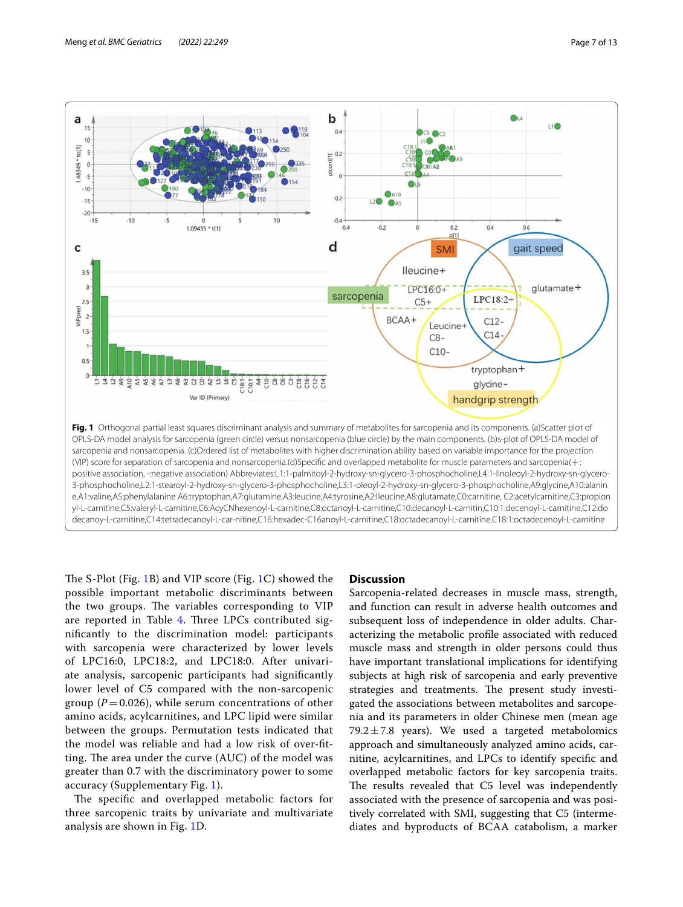

<span id="page-6-0"></span>The S-Plot (Fig. [1B](#page-6-0)) and VIP score (Fig. [1C](#page-6-0)) showed the possible important metabolic discriminants between the two groups. The variables corresponding to VIP are reported in Table [4.](#page-7-0) Three LPCs contributed signifcantly to the discrimination model: participants with sarcopenia were characterized by lower levels of LPC16:0, LPC18:2, and LPC18:0. After univariate analysis, sarcopenic participants had signifcantly lower level of C5 compared with the non-sarcopenic group  $(P=0.026)$ , while serum concentrations of other amino acids, acylcarnitines, and LPC lipid were similar between the groups. Permutation tests indicated that the model was reliable and had a low risk of over-ftting. The area under the curve  $(AUC)$  of the model was greater than 0.7 with the discriminatory power to some accuracy (Supplementary Fig. [1\)](#page-10-5).

The specific and overlapped metabolic factors for three sarcopenic traits by univariate and multivariate analysis are shown in Fig. [1](#page-6-0)D.

#### **Discussion**

Sarcopenia-related decreases in muscle mass, strength, and function can result in adverse health outcomes and subsequent loss of independence in older adults. Characterizing the metabolic profle associated with reduced muscle mass and strength in older persons could thus have important translational implications for identifying subjects at high risk of sarcopenia and early preventive strategies and treatments. The present study investigated the associations between metabolites and sarcopenia and its parameters in older Chinese men (mean age 79.2 $\pm$ 7.8 years). We used a targeted metabolomics approach and simultaneously analyzed amino acids, carnitine, acylcarnitines, and LPCs to identify specifc and overlapped metabolic factors for key sarcopenia traits. The results revealed that C5 level was independently associated with the presence of sarcopenia and was positively correlated with SMI, suggesting that C5 (intermediates and byproducts of BCAA catabolism, a marker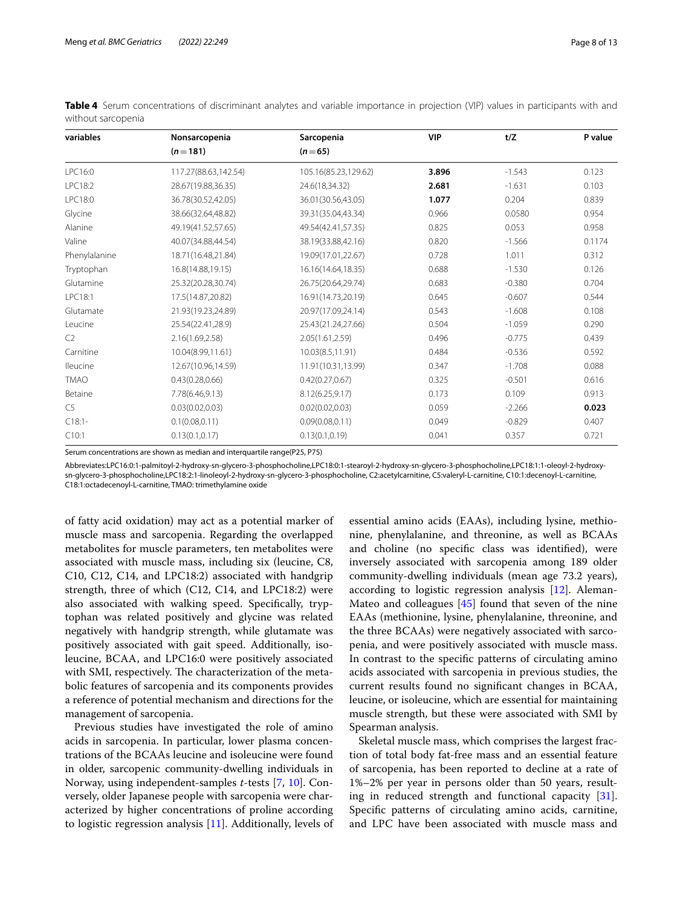| variables      | Nonsarcopenia        | Sarcopenia           | <b>VIP</b> | t/Z      | P value |
|----------------|----------------------|----------------------|------------|----------|---------|
|                | $(n=181)$            | $(n=65)$             |            |          |         |
| LPC16:0        | 117.27(88.63,142.54) | 105.16(85.23,129.62) | 3.896      | $-1.543$ | 0.123   |
| LPC18:2        | 28.67(19.88,36.35)   | 24.6(18,34.32)       | 2.681      | $-1.631$ | 0.103   |
| LPC18:0        | 36.78(30.52,42.05)   | 36.01(30.56,43.05)   | 1.077      | 0.204    | 0.839   |
| Glycine        | 38.66(32.64,48.82)   | 39.31(35.04,43.34)   | 0.966      | 0.0580   | 0.954   |
| Alanine        | 49.19(41.52,57.65)   | 49.54(42.41,57.35)   | 0.825      | 0.053    | 0.958   |
| Valine         | 40.07(34.88,44.54)   | 38.19(33.88,42.16)   | 0.820      | $-1.566$ | 0.1174  |
| Phenylalanine  | 18.71(16.48,21.84)   | 19.09(17.01,22.67)   | 0.728      | 1.011    | 0.312   |
| Tryptophan     | 16.8(14.88,19.15)    | 16.16(14.64,18.35)   | 0.688      | $-1.530$ | 0.126   |
| Glutamine      | 25.32(20.28,30.74)   | 26.75(20.64,29.74)   | 0.683      | $-0.380$ | 0.704   |
| LPC18:1        | 17.5(14.87,20.82)    | 16.91(14.73,20.19)   | 0.645      | $-0.607$ | 0.544   |
| Glutamate      | 21.93(19.23,24.89)   | 20.97(17.09,24.14)   | 0.543      | $-1.608$ | 0.108   |
| Leucine        | 25.54(22.41,28.9)    | 25.43(21.24,27.66)   | 0.504      | $-1.059$ | 0.290   |
| C <sub>2</sub> | 2.16(1.69,2.58)      | 2.05(1.61,2.59)      | 0.496      | $-0.775$ | 0.439   |
| Carnitine      | 10.04(8.99,11.61)    | 10.03(8.5,11.91)     | 0.484      | $-0.536$ | 0.592   |
| Ileucine       | 12.67(10.96,14.59)   | 11.91(10.31,13.99)   | 0.347      | $-1.708$ | 0.088   |
| <b>TMAO</b>    | 0.43(0.28, 0.66)     | 0.42(0.27, 0.67)     | 0.325      | $-0.501$ | 0.616   |
| Betaine        | 7.78(6.46,9.13)      | 8.12(6.25,9.17)      | 0.173      | 0.109    | 0.913   |
| C5             | 0.03(0.02, 0.03)     | 0.02(0.02, 0.03)     | 0.059      | $-2.266$ | 0.023   |
| $C18:1-$       | 0.1(0.08, 0.11)      | 0.09(0.08, 0.11)     | 0.049      | $-0.829$ | 0.407   |
| C10:1          | 0.13(0.1, 0.17)      | 0.13(0.1, 0.19)      | 0.041      | 0.357    | 0.721   |

<span id="page-7-0"></span>**Table 4** Serum concentrations of discriminant analytes and variable importance in projection (VIP) values in participants with and without sarcopenia

Serum concentrations are shown as median and interquartile range(P25, P75)

Abbreviates:LPC16:0:1-palmitoyl-2-hydroxy-sn-glycero-3-phosphocholine,LPC18:0:1-stearoyl-2-hydroxy-sn-glycero-3-phosphocholine,LPC18:1:1-oleoyl-2-hydroxysn-glycero-3-phosphocholine,LPC18:2:1-linoleoyl-2-hydroxy-sn-glycero-3-phosphocholine, C2:acetylcarnitine, C5:valeryl-L-carnitine, C10:1:decenoyl-L-carnitine, C18:1:octadecenoyl-L-carnitine, TMAO: trimethylamine oxide

of fatty acid oxidation) may act as a potential marker of muscle mass and sarcopenia. Regarding the overlapped metabolites for muscle parameters, ten metabolites were associated with muscle mass, including six (leucine, C8, C10, C12, C14, and LPC18:2) associated with handgrip strength, three of which (C12, C14, and LPC18:2) were also associated with walking speed. Specifcally, tryptophan was related positively and glycine was related negatively with handgrip strength, while glutamate was positively associated with gait speed. Additionally, isoleucine, BCAA, and LPC16:0 were positively associated with SMI, respectively. The characterization of the metabolic features of sarcopenia and its components provides a reference of potential mechanism and directions for the management of sarcopenia.

Previous studies have investigated the role of amino acids in sarcopenia. In particular, lower plasma concentrations of the BCAAs leucine and isoleucine were found in older, sarcopenic community-dwelling individuals in Norway, using independent-samples *t*-tests [\[7](#page-11-0), [10](#page-11-3)]. Conversely, older Japanese people with sarcopenia were characterized by higher concentrations of proline according to logistic regression analysis [\[11](#page-11-34)]. Additionally, levels of essential amino acids (EAAs), including lysine, methionine, phenylalanine, and threonine, as well as BCAAs and choline (no specifc class was identifed), were inversely associated with sarcopenia among 189 older community-dwelling individuals (mean age 73.2 years), according to logistic regression analysis [[12\]](#page-11-4). Aleman-Mateo and colleagues [\[45\]](#page-11-35) found that seven of the nine EAAs (methionine, lysine, phenylalanine, threonine, and the three BCAAs) were negatively associated with sarcopenia, and were positively associated with muscle mass. In contrast to the specifc patterns of circulating amino acids associated with sarcopenia in previous studies, the current results found no signifcant changes in BCAA, leucine, or isoleucine, which are essential for maintaining muscle strength, but these were associated with SMI by Spearman analysis.

Skeletal muscle mass, which comprises the largest fraction of total body fat-free mass and an essential feature of sarcopenia, has been reported to decline at a rate of 1%–2% per year in persons older than 50 years, resulting in reduced strength and functional capacity [\[31](#page-11-20)]. Specifc patterns of circulating amino acids, carnitine, and LPC have been associated with muscle mass and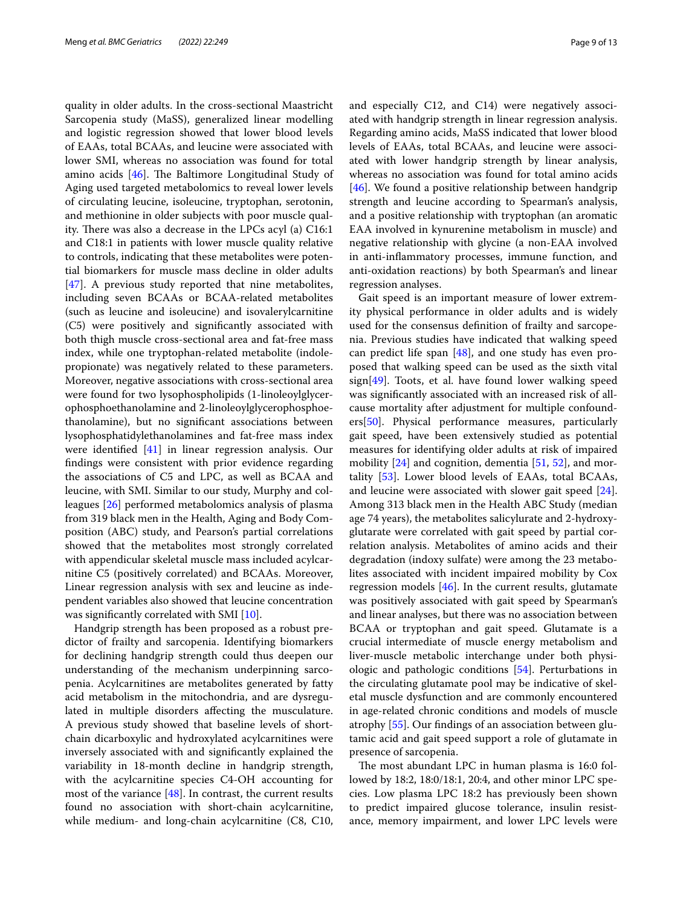quality in older adults. In the cross-sectional Maastricht Sarcopenia study (MaSS), generalized linear modelling and logistic regression showed that lower blood levels of EAAs, total BCAAs, and leucine were associated with lower SMI, whereas no association was found for total amino acids  $[46]$  $[46]$ . The Baltimore Longitudinal Study of Aging used targeted metabolomics to reveal lower levels of circulating leucine, isoleucine, tryptophan, serotonin, and methionine in older subjects with poor muscle quality. There was also a decrease in the LPCs acyl (a)  $C16:1$ and C18:1 in patients with lower muscle quality relative to controls, indicating that these metabolites were potential biomarkers for muscle mass decline in older adults [[47\]](#page-11-37). A previous study reported that nine metabolites, including seven BCAAs or BCAA-related metabolites (such as leucine and isoleucine) and isovalerylcarnitine (C5) were positively and signifcantly associated with both thigh muscle cross-sectional area and fat-free mass index, while one tryptophan-related metabolite (indolepropionate) was negatively related to these parameters. Moreover, negative associations with cross-sectional area were found for two lysophospholipids (1-linoleoylglycerophosphoethanolamine and 2-linoleoylglycerophosphoethanolamine), but no signifcant associations between lysophosphatidylethanolamines and fat-free mass index were identifed [\[41](#page-11-30)] in linear regression analysis. Our fndings were consistent with prior evidence regarding the associations of C5 and LPC, as well as BCAA and leucine, with SMI. Similar to our study, Murphy and colleagues [[26\]](#page-11-15) performed metabolomics analysis of plasma from 319 black men in the Health, Aging and Body Composition (ABC) study, and Pearson's partial correlations showed that the metabolites most strongly correlated with appendicular skeletal muscle mass included acylcarnitine C5 (positively correlated) and BCAAs. Moreover, Linear regression analysis with sex and leucine as independent variables also showed that leucine concentration was signifcantly correlated with SMI [\[10](#page-11-3)].

Handgrip strength has been proposed as a robust predictor of frailty and sarcopenia. Identifying biomarkers for declining handgrip strength could thus deepen our understanding of the mechanism underpinning sarcopenia. Acylcarnitines are metabolites generated by fatty acid metabolism in the mitochondria, and are dysregulated in multiple disorders afecting the musculature. A previous study showed that baseline levels of shortchain dicarboxylic and hydroxylated acylcarnitines were inversely associated with and signifcantly explained the variability in 18-month decline in handgrip strength, with the acylcarnitine species C4-OH accounting for most of the variance [[48](#page-11-38)]. In contrast, the current results found no association with short-chain acylcarnitine, while medium- and long-chain acylcarnitine (C8, C10, and especially C12, and C14) were negatively associated with handgrip strength in linear regression analysis. Regarding amino acids, MaSS indicated that lower blood levels of EAAs, total BCAAs, and leucine were associated with lower handgrip strength by linear analysis, whereas no association was found for total amino acids [[46\]](#page-11-36). We found a positive relationship between handgrip strength and leucine according to Spearman's analysis, and a positive relationship with tryptophan (an aromatic EAA involved in kynurenine metabolism in muscle) and negative relationship with glycine (a non-EAA involved in anti-infammatory processes, immune function, and anti-oxidation reactions) by both Spearman's and linear regression analyses.

Gait speed is an important measure of lower extremity physical performance in older adults and is widely used for the consensus defnition of frailty and sarcopenia. Previous studies have indicated that walking speed can predict life span [\[48\]](#page-11-38), and one study has even proposed that walking speed can be used as the sixth vital sign[[49](#page-11-39)]. Toots, et al. have found lower walking speed was signifcantly associated with an increased risk of allcause mortality after adjustment for multiple confounders[[50\]](#page-12-0). Physical performance measures, particularly gait speed, have been extensively studied as potential measures for identifying older adults at risk of impaired mobility  $[24]$  $[24]$  and cognition, dementia  $[51, 52]$  $[51, 52]$  $[51, 52]$ , and mortality [\[53\]](#page-12-3). Lower blood levels of EAAs, total BCAAs, and leucine were associated with slower gait speed [\[24](#page-11-40)]. Among 313 black men in the Health ABC Study (median age 74 years), the metabolites salicylurate and 2-hydroxyglutarate were correlated with gait speed by partial correlation analysis. Metabolites of amino acids and their degradation (indoxy sulfate) were among the 23 metabolites associated with incident impaired mobility by Cox regression models [[46](#page-11-36)]. In the current results, glutamate was positively associated with gait speed by Spearman's and linear analyses, but there was no association between BCAA or tryptophan and gait speed. Glutamate is a crucial intermediate of muscle energy metabolism and liver-muscle metabolic interchange under both physiologic and pathologic conditions [\[54\]](#page-12-4). Perturbations in the circulating glutamate pool may be indicative of skeletal muscle dysfunction and are commonly encountered in age-related chronic conditions and models of muscle atrophy [[55\]](#page-12-5). Our fndings of an association between glutamic acid and gait speed support a role of glutamate in presence of sarcopenia.

The most abundant LPC in human plasma is 16:0 followed by 18:2, 18:0/18:1, 20:4, and other minor LPC species. Low plasma LPC 18:2 has previously been shown to predict impaired glucose tolerance, insulin resistance, memory impairment, and lower LPC levels were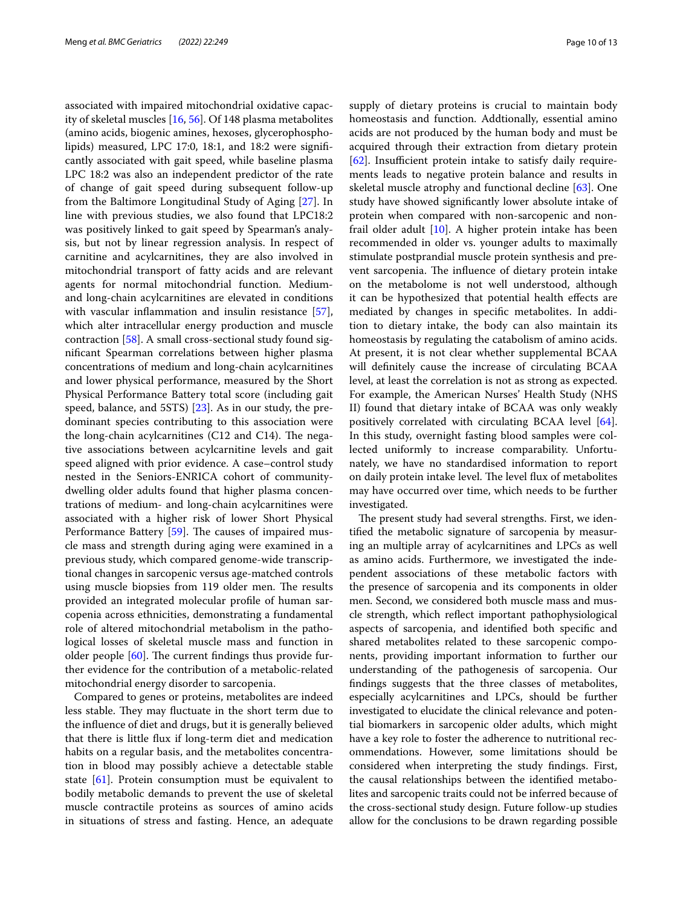associated with impaired mitochondrial oxidative capacity of skeletal muscles [\[16](#page-11-7), [56](#page-12-6)]. Of 148 plasma metabolites (amino acids, biogenic amines, hexoses, glycerophospholipids) measured, LPC 17:0, 18:1, and 18:2 were signifcantly associated with gait speed, while baseline plasma LPC 18:2 was also an independent predictor of the rate of change of gait speed during subsequent follow-up from the Baltimore Longitudinal Study of Aging [\[27](#page-11-14)]. In line with previous studies, we also found that LPC18:2 was positively linked to gait speed by Spearman's analysis, but not by linear regression analysis. In respect of carnitine and acylcarnitines, they are also involved in mitochondrial transport of fatty acids and are relevant agents for normal mitochondrial function. Mediumand long-chain acylcarnitines are elevated in conditions with vascular inflammation and insulin resistance [\[57](#page-12-7)], which alter intracellular energy production and muscle contraction [[58\]](#page-12-8). A small cross-sectional study found signifcant Spearman correlations between higher plasma concentrations of medium and long-chain acylcarnitines and lower physical performance, measured by the Short Physical Performance Battery total score (including gait speed, balance, and 5STS) [[23](#page-11-13)]. As in our study, the predominant species contributing to this association were the long-chain acylcarnitines (C12 and C14). The negative associations between acylcarnitine levels and gait speed aligned with prior evidence. A case–control study nested in the Seniors-ENRICA cohort of communitydwelling older adults found that higher plasma concentrations of medium- and long-chain acylcarnitines were associated with a higher risk of lower Short Physical Performance Battery [\[59](#page-12-9)]. The causes of impaired muscle mass and strength during aging were examined in a previous study, which compared genome-wide transcriptional changes in sarcopenic versus age-matched controls using muscle biopsies from 119 older men. The results provided an integrated molecular profle of human sarcopenia across ethnicities, demonstrating a fundamental role of altered mitochondrial metabolism in the pathological losses of skeletal muscle mass and function in older people  $[60]$  $[60]$ . The current findings thus provide further evidence for the contribution of a metabolic-related mitochondrial energy disorder to sarcopenia.

Compared to genes or proteins, metabolites are indeed less stable. They may fluctuate in the short term due to the infuence of diet and drugs, but it is generally believed that there is little fux if long-term diet and medication habits on a regular basis, and the metabolites concentration in blood may possibly achieve a detectable stable state [\[61](#page-12-11)]. Protein consumption must be equivalent to bodily metabolic demands to prevent the use of skeletal muscle contractile proteins as sources of amino acids in situations of stress and fasting. Hence, an adequate supply of dietary proteins is crucial to maintain body homeostasis and function. Addtionally, essential amino acids are not produced by the human body and must be acquired through their extraction from dietary protein [[62\]](#page-12-12). Insufficient protein intake to satisfy daily requirements leads to negative protein balance and results in skeletal muscle atrophy and functional decline [[63\]](#page-12-13). One study have showed signifcantly lower absolute intake of protein when compared with non-sarcopenic and nonfrail older adult [\[10\]](#page-11-3). A higher protein intake has been recommended in older vs. younger adults to maximally stimulate postprandial muscle protein synthesis and prevent sarcopenia. The influence of dietary protein intake on the metabolome is not well understood, although it can be hypothesized that potential health efects are mediated by changes in specifc metabolites. In addition to dietary intake, the body can also maintain its homeostasis by regulating the catabolism of amino acids. At present, it is not clear whether supplemental BCAA will defnitely cause the increase of circulating BCAA level, at least the correlation is not as strong as expected. For example, the American Nurses' Health Study (NHS II) found that dietary intake of BCAA was only weakly positively correlated with circulating BCAA level [\[64](#page-12-14)]. In this study, overnight fasting blood samples were collected uniformly to increase comparability. Unfortunately, we have no standardised information to report on daily protein intake level. The level flux of metabolites may have occurred over time, which needs to be further investigated.

The present study had several strengths. First, we identifed the metabolic signature of sarcopenia by measuring an multiple array of acylcarnitines and LPCs as well as amino acids. Furthermore, we investigated the independent associations of these metabolic factors with the presence of sarcopenia and its components in older men. Second, we considered both muscle mass and muscle strength, which refect important pathophysiological aspects of sarcopenia, and identifed both specifc and shared metabolites related to these sarcopenic components, providing important information to further our understanding of the pathogenesis of sarcopenia. Our fndings suggests that the three classes of metabolites, especially acylcarnitines and LPCs, should be further investigated to elucidate the clinical relevance and potential biomarkers in sarcopenic older adults, which might have a key role to foster the adherence to nutritional recommendations. However, some limitations should be considered when interpreting the study fndings. First, the causal relationships between the identifed metabolites and sarcopenic traits could not be inferred because of the cross-sectional study design. Future follow-up studies allow for the conclusions to be drawn regarding possible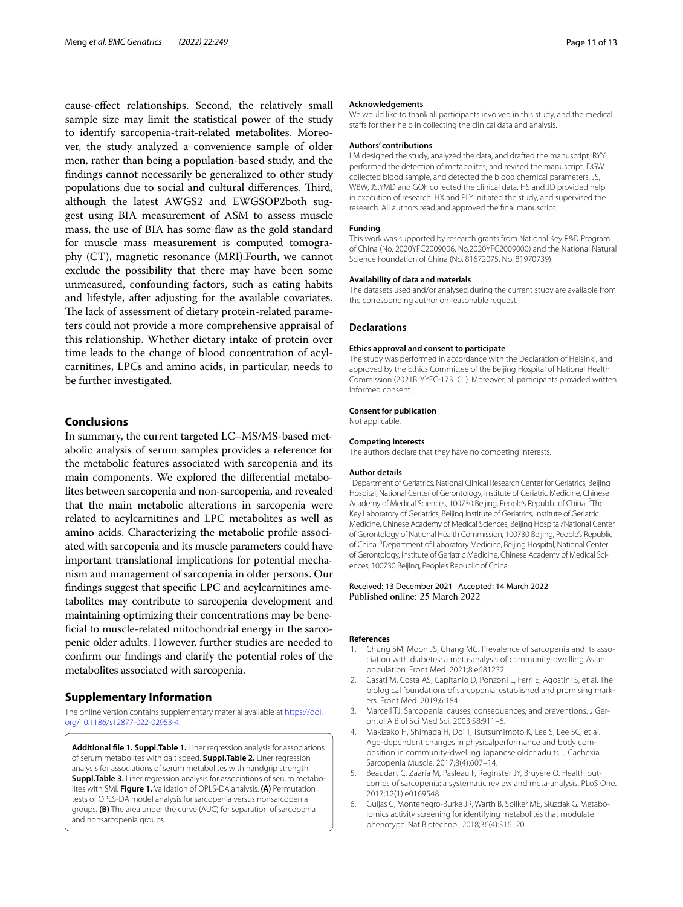cause-efect relationships. Second, the relatively small sample size may limit the statistical power of the study to identify sarcopenia-trait-related metabolites. Moreover, the study analyzed a convenience sample of older men, rather than being a population-based study, and the fndings cannot necessarily be generalized to other study populations due to social and cultural differences. Third, although the latest AWGS2 and EWGSOP2both suggest using BIA measurement of ASM to assess muscle mass, the use of BIA has some flaw as the gold standard for muscle mass measurement is computed tomography (CT), magnetic resonance (MRI).Fourth, we cannot exclude the possibility that there may have been some unmeasured, confounding factors, such as eating habits and lifestyle, after adjusting for the available covariates. The lack of assessment of dietary protein-related parameters could not provide a more comprehensive appraisal of this relationship. Whether dietary intake of protein over time leads to the change of blood concentration of acylcarnitines, LPCs and amino acids, in particular, needs to be further investigated.

#### **Conclusions**

In summary, the current targeted LC–MS/MS-based metabolic analysis of serum samples provides a reference for the metabolic features associated with sarcopenia and its main components. We explored the diferential metabolites between sarcopenia and non-sarcopenia, and revealed that the main metabolic alterations in sarcopenia were related to acylcarnitines and LPC metabolites as well as amino acids. Characterizing the metabolic profle associated with sarcopenia and its muscle parameters could have important translational implications for potential mechanism and management of sarcopenia in older persons. Our fndings suggest that specifc LPC and acylcarnitines ametabolites may contribute to sarcopenia development and maintaining optimizing their concentrations may be benefcial to muscle-related mitochondrial energy in the sarcopenic older adults. However, further studies are needed to confrm our fndings and clarify the potential roles of the metabolites associated with sarcopenia.

#### **Supplementary Information**

The online version contains supplementary material available at [https://doi.](https://doi.org/10.1186/s12877-022-02953-4) [org/10.1186/s12877-022-02953-4](https://doi.org/10.1186/s12877-022-02953-4).

<span id="page-10-5"></span>**Additional fle 1. Suppl.Table 1.** Liner regression analysis for associations of serum metabolites with gait speed. **Suppl.Table 2.** Liner regression analysis for associations of serum metabolites with handgrip strength. **Suppl.Table 3.** Liner regression analysis for associations of serum metabolites with SMI. **Figure 1.** Validation of OPLS-DA analysis. **(A)** Permutation tests of OPLS-DA model analysis for sarcopenia versus nonsarcopenia groups. **(B)** The area under the curve (AUC) for separation of sarcopenia and nonsarcopenia groups.

#### **Acknowledgements**

We would like to thank all participants involved in this study, and the medical staffs for their help in collecting the clinical data and analysis.

#### **Authors' contributions**

LM designed the study, analyzed the data, and drafted the manuscript. RYY performed the detection of metabolites, and revised the manuscript. DGW collected blood sample, and detected the blood chemical parameters. JS, WBW, JS,YMD and GQF collected the clinical data. HS and JD provided help in execution of research. HX and PLY initiated the study, and supervised the research. All authors read and approved the fnal manuscript.

#### **Funding**

This work was supported by research grants from National Key R&D Program of China (No. 2020YFC2009006, No.2020YFC2009000) and the National Natural Science Foundation of China (No. 81672075, No. 81970739).

#### **Availability of data and materials**

The datasets used and/or analysed during the current study are available from the corresponding author on reasonable request.

#### **Declarations**

#### **Ethics approval and consent to participate**

The study was performed in accordance with the Declaration of Helsinki, and approved by the Ethics Committee of the Beijing Hospital of National Health Commission (2021BJYYEC-173–01). Moreover, all participants provided written informed consent.

#### **Consent for publication**

Not applicable.

#### **Competing interests**

The authors declare that they have no competing interests.

#### **Author details**

<sup>1</sup> Department of Geriatrics, National Clinical Research Center for Geriatrics, Beijing Hospital, National Center of Gerontology, Institute of Geriatric Medicine, Chinese Academy of Medical Sciences, 100730 Beijing, People's Republic of China. <sup>2</sup>The Key Laboratory of Geriatrics, Beijing Institute of Geriatrics, Institute of Geriatric Medicine, Chinese Academy of Medical Sciences, Beijing Hospital/National Center of Gerontology of National Health Commission, 100730 Beijing, People's Republic of China. <sup>3</sup> Department of Laboratory Medicine, Beijing Hospital, National Center of Gerontology, Institute of Geriatric Medicine, Chinese Academy of Medical Sciences, 100730 Beijing, People's Republic of China.

## Received: 13 December 2021 Accepted: 14 March 2022

#### **References**

- <span id="page-10-0"></span>1. Chung SM, Moon JS, Chang MC. Prevalence of sarcopenia and its association with diabetes: a meta-analysis of community-dwelling Asian population. Front Med. 2021;8:e681232.
- <span id="page-10-1"></span>2. Casati M, Costa AS, Capitanio D, Ponzoni L, Ferri E, Agostini S, et al. The biological foundations of sarcopenia: established and promising markers. Front Med. 2019;6:184.
- <span id="page-10-2"></span>3. Marcell TJ. Sarcopenia: causes, consequences, and preventions. J Gerontol A Biol Sci Med Sci. 2003;58:911–6.
- 4. Makizako H, Shimada H, Doi T, Tsutsumimoto K, Lee S, Lee SC, et al. Age-dependent changes in physicalperformance and body composition in community-dwelling Japanese older adults. J Cachexia Sarcopenia Muscle. 2017;8(4):607–14.
- <span id="page-10-3"></span>5. Beaudart C, Zaaria M, Pasleau F, Reginster JY, Bruyère O. Health outcomes of sarcopenia: a systematic review and meta-analysis. PLoS One. 2017;12(1):e0169548.
- <span id="page-10-4"></span>6. Guijas C, Montenegro-Burke JR, Warth B, Spilker ME, Siuzdak G. Metabolomics activity screening for identifying metabolites that modulate phenotype. Nat Biotechnol. 2018;36(4):316–20.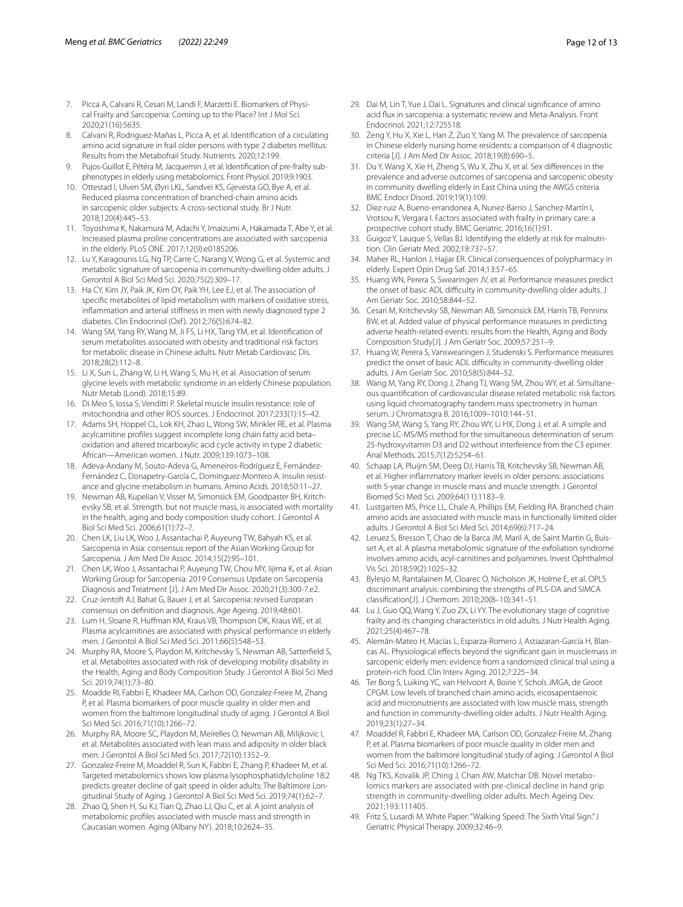- <span id="page-11-0"></span>7. Picca A, Calvani R, Cesari M, Landi F, Marzetti E. Biomarkers of Physical Frailty and Sarcopenia: Coming up to the Place? Int J Mol Sci. 2020;21(16):5635.
- <span id="page-11-1"></span>8. Calvani R, Rodriguez-Mañas L, Picca A, et al. Identifcation of a circulating amino acid signature in frail older persons with type 2 diabetes mellitus: Results from the Metabofrail Study. Nutrients. 2020;12:199.
- <span id="page-11-2"></span>9. Pujos-Guillot E, Pétéra M, Jacquemin J, et al. Identifcation of pre-frailty subphenotypes in elderly using metabolomics. Front Physiol. 2019;9:1903.
- <span id="page-11-3"></span>10. Ottestad I, Ulven SM, Øyri LKL, Sandvei KS, Gjevesta GO, Bye A, et al. Reduced plasma concentration of branched-chain amino acids in sarcopenic older subjects: A cross-sectional study. Br J Nutr. 2018;120(4):445–53.
- <span id="page-11-34"></span>11. Toyoshima K, Nakamura M, Adachi Y, Imaizumi A, Hakamada T, Abe Y, et al. Increased plasma proline concentrations are associated with sarcopenia in the elderly. PLoS ONE. 2017;12(9):e0185206.
- <span id="page-11-4"></span>12. Lu Y, Karagounis LG, Ng TP, Carre C, Narang V, Wong G, et al. Systemic and metabolic signature of sarcopenia in community-dwelling older adults. J Gerontol A Biol Sci Med Sci. 2020;75(2):309–17.
- <span id="page-11-5"></span>13. Ha CY, Kim JY, Paik JK, Kim OY, Paik YH, Lee EJ, et al. The association of specifc metabolites of lipid metabolism with markers of oxidative stress, infammation and arterial stifness in men with newly diagnosed type 2 diabetes. Clin Endocrinol (Oxf ). 2012;76(5):674–82.
- 14. Wang SM, Yang RY, Wang M, Ji FS, Li HX, Tang YM, et al. Identifcation of serum metabolites associated with obesity and traditional risk factors for metabolic disease in Chinese adults. Nutr Metab Cardiovasc Dis. 2018;28(2):112–8.
- <span id="page-11-6"></span>15. Li X, Sun L, Zhang W, Li H, Wang S, Mu H, et al. Association of serum glycine levels with metabolic syndrome in an elderly Chinese population. Nutr Metab (Lond). 2018;15:89.
- <span id="page-11-7"></span>16. Di Meo S, Iossa S, Venditti P. Skeletal muscle insulin resistance: role of mitochondria and other ROS sources. J Endocrinol. 2017;233(1):15–42.
- 17. Adams SH, Hoppel CL, Lok KH, Zhao L, Wong SW, Minkler RE, et al. Plasma acylcarnitine profles suggest incomplete long chain fatty acid beta– oxidation and altered tricarboxylic acid cycle activity in type 2 diabetic African—American women. J Nutr. 2009;139:1073–108.
- <span id="page-11-8"></span>18. Adeva-Andany M, Souto-Adeva G, Ameneiros-Rodríguez E, Fernández-Fernández C, Donapetry-García C, Domínguez-Montero A. Insulin resistance and glycine metabolism in humans. Amino Acids. 2018;50:11–27.
- <span id="page-11-9"></span>19. Newman AB, Kupelian V, Visser M, Simonsick EM, Goodpaster BH, Kritchevsky SB, et al. Strength, but not muscle mass, is associated with mortality in the health, aging and body composition study cohort. J Gerontol A Biol Sci Med Sci. 2006;61(1):72–7.
- <span id="page-11-10"></span>20. Chen LK, Liu LK, Woo J, Assantachai P, Auyeung TW, Bahyah KS, et al. Sarcopenia in Asia: consensus report of the Asian Working Group for Sarcopenia. J Am Med Dir Assoc. 2014;15(2):95–101.
- <span id="page-11-11"></span>21. Chen LK, Woo J, Assantachai P, Auyeung TW, Chou MY, Iijima K, et al. Asian Working Group for Sarcopenia: 2019 Consensus Update on Sarcopenia Diagnosis and Treatment [J]. J Am Med Dir Assoc. 2020;21(3):300-7.e2.
- <span id="page-11-12"></span>22. Cruz-Jentoft AJ, Bahat G, Bauer J, et al. Sarcopenia: revised European consensus on defnition and diagnosis. Age Ageing. 2019;48:601.
- <span id="page-11-13"></span>23. Lum H, Sloane R, Huffman KM, Kraus VB, Thompson DK, Kraus WE, et al. Plasma acylcarnitines are associated with physical performance in elderly men. J Gerontol A Biol Sci Med Sci. 2011;66(5):548–53.
- <span id="page-11-40"></span>24. Murphy RA, Moore S, Playdon M, Kritchevsky S, Newman AB, Satterfeld S, et al. Metabolites associated with risk of developing mobility disability in the Health, Aging and Body Composition Study. J Gerontol A Biol Sci Med Sci. 2019;74(1):73–80.
- <span id="page-11-18"></span>25. Moadde Rl, Fabbri E, Khadeer MA, Carlson OD, Gonzalez-Freire M, Zhang P, et al. Plasma biomarkers of poor muscle quality in older men and women from the baltimore longitudinal study of aging. J Gerontol A Biol Sci Med Sci. 2016;71(10):1266–72.
- <span id="page-11-15"></span>26. Murphy RA, Moore SC, Playdon M, Meirelles O, Newman AB, Milijkovic I, et al. Metabolites associated with lean mass and adiposity in older black men. J Gerontol A Biol Sci Med Sci. 2017;72(10):1352–9.
- <span id="page-11-14"></span>27. Gonzalez-Freire M, Moaddel R, Sun K, Fabbri E, Zhang P, Khadeer M, et al. Targeted metabolomics shows low plasma lysophosphatidylcholine 18:2 predicts greater decline of gait speed in older adults: The Baltimore Longitudinal Study of Aging. J Gerontol A Biol Sci Med Sci. 2019;74(1):62–7.
- <span id="page-11-16"></span>28. Zhao Q, Shen H, Su KJ, Tian Q, Zhao LJ, Qiu C, et al. A joint analysis of metabolomic profles associated with muscle mass and strength in Caucasian women. Aging (Albany NY). 2018;10:2624–35.
- <span id="page-11-17"></span>29. Dai M, Lin T, Yue J, Dai L. Signatures and clinical signifcance of amino acid fux in sarcopenia: a systematic review and Meta-Analysis. Front Endocrinol. 2021;12:725518.
- <span id="page-11-19"></span>30. Zeng Y, Hu X, Xie L, Han Z, Zuo Y, Yang M. The prevalence of sarcopenia in Chinese elderly nursing home residents: a comparison of 4 diagnostic criteria [J]. J Am Med Dir Assoc. 2018;19(8):690–5.
- <span id="page-11-20"></span>31. Du Y, Wang X, Xie H, Zheng S, Wu X, Zhu X, et al. Sex diferences in the prevalence and adverse outcomes of sarcopenia and sarcopenic obesity in community dwelling elderly in East China using the AWGS criteria. BMC Endocr Disord. 2019;19(1):109.
- <span id="page-11-21"></span>32. Diez-ruiz A, Bueno-errandonea A, Nunez-Barrio J, Sanchez-Martín I, Vrotsou K, Vergara I. Factors associated with frailty in primary care: a prospective cohort study. BMC Geriatric. 2016;16(1):91.
- <span id="page-11-22"></span>33. Guigoz Y, Lauque S, Vellas BJ. Identifying the elderly at risk for malnutrition. Clin Geriatr Med. 2002;18:737–57.
- <span id="page-11-23"></span>34. Maher RL, Hanlon J, Hajjar ER. Clinical consequences of polypharmacy in elderly. Expert Opin Drug Saf. 2014;13:57–65.
- <span id="page-11-24"></span>35. Huang WN, Perera S, Swearingen JV, et al. Performance measures predict the onset of basic ADL difficulty in community-dwelling older adults. J Am Geriatr Soc. 2010;58:844–52.
- <span id="page-11-25"></span>36. Cesari M, Kritchevsky SB, Newman AB, Simonsick EM, Harris TB, Penninx BW, et al. Added value of physical performance measures in predicting adverse health-related events: results from the Health, Aging and Body Composition Study[J]. J Am Geriatr Soc. 2009;57:251–9.
- <span id="page-11-26"></span>37. Huang W, Perera S, Vanswearingen J, Studenski S. Performance measures predict the onset of basic ADL difficulty in community-dwelling older adults. J Am Geriatr Soc. 2010;58(5):844–52.
- <span id="page-11-27"></span>38. Wang M, Yang RY, Dong J, Zhang TJ, Wang SM, Zhou WY, et al. Simultaneous quantifcation of cardiovascular disease related metabolic risk factors using liquid chromatography tandem mass spectrometry in human serum. J Chromatogra B. 2016;1009–1010:144–51.
- <span id="page-11-28"></span>39. Wang SM, Wang S, Yang RY, Zhou WY, Li HX, Dong J, et al. A simple and precise LC-MS/MS method for the simultaneous determination of serum 25-hydroxyvitamin D3 and D2 without interference from the C3 epimer. Anal Methods. 2015;7(12):5254–61.
- <span id="page-11-29"></span>40. Schaap LA, Pluijm SM, Deeg DJ, Harris TB, Kritchevsky SB, Newman AB, et al. Higher infammatory marker levels in older persons: associations with 5-year change in muscle mass and muscle strength. J Gerontol Biomed Sci Med Sci. 2009;64(11):1183–9.
- <span id="page-11-30"></span>41. Lustgarten MS, Price LL, Chale A, Phillips EM, Fielding RA. Branched chain amino acids are associated with muscle mass in functionally limited older adults. J Gerontol A Biol Sci Med Sci. 2014;69(6):717–24.
- <span id="page-11-31"></span>42. Leruez S, Bresson T, Chao de la Barca JM, Maril A, de Saint Martin G, Buisset A, et al. A plasma metabolomic signature of the exfoliation syndrome involves amino acids, acyl-carnitines and polyamines. Invest Ophthalmol Vis Sci. 2018;59(2):1025–32.
- <span id="page-11-32"></span>43. Bylesjo M, Rantalainen M, Cloarec O, Nicholson JK, Holme E, et al. OPLS discriminant analysis: combining the strengths of PLS-DA and SIMCA classifcation[J]. J Chemom. 2010;20(8–10):341–51.
- <span id="page-11-33"></span>44. Lu J, Guo QQ, Wang Y, Zuo ZX, Li YY. The evolutionary stage of cognitive frailty and its changing characteristics in old adults. J Nutr Health Aging. 2021;25(4):467–78.
- <span id="page-11-35"></span>45. Alemán-Mateo H, Macías L, Esparza-Romero J, Astiazaran-García H, Blancas AL. Physiological effects beyond the significant gain in musclemass in sarcopenic elderly men: evidence from a randomized clinical trial using a protein-rich food. Clin Interv Aging. 2012;7:225–34.
- <span id="page-11-36"></span>46. Ter Borg S, Luiking YC, van Helvoort A, Boirie Y, Schols JMGA, de Groot CPGM. Low levels of branched chain amino acids, eicosapentaenoic acid and micronutrients are associated with low muscle mass, strength and function in community-dwelling older adults. J Nutr Health Aging. 2019;23(1):27–34.
- <span id="page-11-37"></span>47. Moaddel R, Fabbri E, Khadeer MA, Carlson OD, Gonzalez-Freire M, Zhang P, et al. Plasma biomarkers of poor muscle quality in older men and women from the baltimore longitudinal study of aging. J Gerontol A Biol Sci Med Sci. 2016;71(10):1266–72.
- <span id="page-11-38"></span>48. Ng TKS, Kovalik JP, Ching J, Chan AW, Matchar DB. Novel metabolomics markers are associated with pre-clinical decline in hand grip strength in community-dwelling older adults. Mech Ageing Dev. 2021;193:111405.
- <span id="page-11-39"></span>49. Fritz S, Lusardi M. White Paper: "Walking Speed: The Sixth Vital Sign." J Geriatric Physical Therapy. 2009;32:46–9.